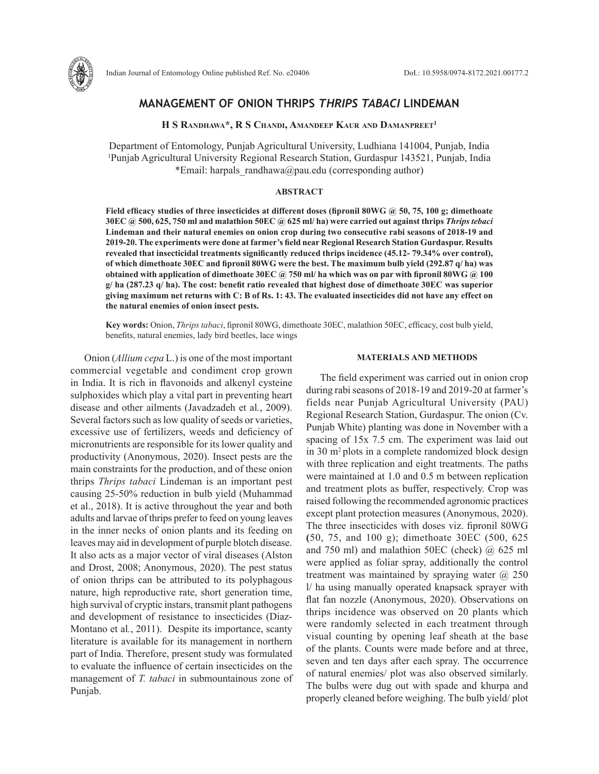

# **MANAGEMENT OF ONION THRIPS** *THRIPS TABACI* **LINDEMAN**

**H S Randhawa\*, R S Chandi, Amandeep Kaur and Damanpreet1**

Department of Entomology, Punjab Agricultural University, Ludhiana 141004, Punjab, India 1 Punjab Agricultural University Regional Research Station, Gurdaspur 143521, Punjab, India \*Email: harpals randhawa@pau.edu (corresponding author)

# **ABSTRACT**

**Field efficacy studies of three insecticides at different doses (fipronil 80WG @ 50, 75, 100 g; dimethoate 30EC @ 500, 625, 750 ml and malathion 50EC @ 625 ml/ ha) were carried out against thrips** *Thrips tebaci* **Lindeman and their natural enemies on onion crop during two consecutive rabi seasons of 2018-19 and 2019-20. The experiments were done at farmer's field near Regional Research Station Gurdaspur. Results revealed that insecticidal treatments significantly reduced thrips incidence (45.12- 79.34% over control), of which dimethoate 30EC and fipronil 80WG were the best. The maximum bulb yield (292.87 q/ ha) was obtained with application of dimethoate 30EC @ 750 ml/ ha which was on par with fipronil 80WG @ 100 g/ ha (287.23 q/ ha). The cost: benefit ratio revealed that highest dose of dimethoate 30EC was superior giving maximum net returns with C: B of Rs. 1: 43. The evaluated insecticides did not have any effect on the natural enemies of onion insect pests.**

**Key words:** Onion, *Thrips tabaci*, fipronil 80WG, dimethoate 30EC, malathion 50EC, efficacy, cost bulb yield, benefits, natural enemies, lady bird beetles, lace wings

Onion (*Allium cepa* L.) is one of the most important commercial vegetable and condiment crop grown in India. It is rich in flavonoids and alkenyl cysteine sulphoxides which play a vital part in preventing heart disease and other ailments (Javadzadeh et al*.*, 2009). Several factors such as low quality of seeds or varieties, excessive use of fertilizers, weeds and deficiency of micronutrients are responsible for its lower quality and productivity (Anonymous, 2020). Insect pests are the main constraints for the production, and of these onion thrips *Thrips tabaci* Lindeman is an important pest causing 25-50% reduction in bulb yield (Muhammad et al., 2018). It is active throughout the year and both adults and larvae of thrips prefer to feed on young leaves in the inner necks of onion plants and its feeding on leaves may aid in development of purple blotch disease. It also acts as a major vector of viral diseases (Alston and Drost, 2008; Anonymous, 2020). The pest status of onion thrips can be attributed to its polyphagous nature, high reproductive rate, short generation time, high survival of cryptic instars, transmit plant pathogens and development of resistance to insecticides (Diaz-Montano et al*.*, 2011). Despite its importance, scanty literature is available for its management in northern part of India. Therefore, present study was formulated to evaluate the influence of certain insecticides on the management of *T. tabaci* in submountainous zone of Punjab.

#### **MATERIALS AND METHODS**

The field experiment was carried out in onion crop during rabi seasons of 2018-19 and 2019-20 at farmer's fields near Punjab Agricultural University (PAU) Regional Research Station, Gurdaspur. The onion (Cv. Punjab White) planting was done in November with a spacing of 15x 7.5 cm. The experiment was laid out in 30 m<sup>2</sup> plots in a complete randomized block design with three replication and eight treatments. The paths were maintained at 1.0 and 0.5 m between replication and treatment plots as buffer, respectively. Crop was raised following the recommended agronomic practices except plant protection measures (Anonymous, 2020). The three insecticides with doses viz. fipronil 80WG **(**50, 75, and 100 g); dimethoate 30EC (500, 625 and 750 ml) and malathion 50EC (check)  $\omega$  625 ml were applied as foliar spray, additionally the control treatment was maintained by spraying water  $\omega$  250 l/ ha using manually operated knapsack sprayer with flat fan nozzle (Anonymous, 2020). Observations on thrips incidence was observed on 20 plants which were randomly selected in each treatment through visual counting by opening leaf sheath at the base of the plants. Counts were made before and at three, seven and ten days after each spray. The occurrence of natural enemies/ plot was also observed similarly. The bulbs were dug out with spade and khurpa and properly cleaned before weighing. The bulb yield/ plot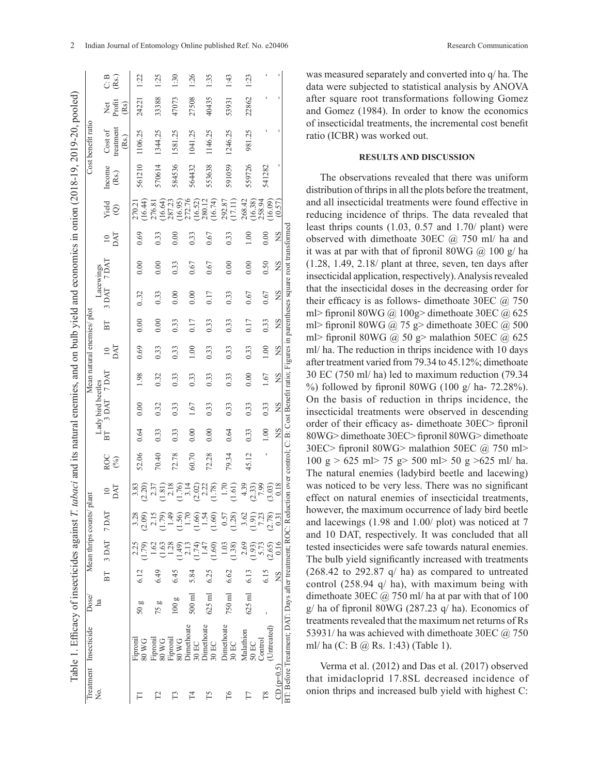|                            | C.B<br>(Rs)                            | 1:22              | 1:25                         | 1:30                      | 1:26                             | 1:35                                                                          | 1:43                | 1:23                            |                                    |                |
|----------------------------|----------------------------------------|-------------------|------------------------------|---------------------------|----------------------------------|-------------------------------------------------------------------------------|---------------------|---------------------------------|------------------------------------|----------------|
|                            | Profit<br>Xet<br>(Rs)                  | 24221             | 33388                        | 47073                     | 27508                            | 40435                                                                         | 53931               | 22862                           |                                    |                |
| Cost benefit ratio         | treatment<br>Cost of<br>(Rs.)          | 1106.25           | 1344.25                      | 1581.25                   | 1041.25                          | 1146.25                                                                       | 1246.25             | 981.25                          |                                    |                |
|                            | Income<br>$\left( \mathrm{Rs.}\right)$ | 561210            | 570614                       | 584536                    | 564432                           | 553638                                                                        | 591059              | 559726                          | 541282                             |                |
|                            | Yield<br>$\widehat{\odot}$             | (16.44)<br>270.21 | (16.64)<br>276.81            | 287.23<br>(16.95)         | 272.76<br>(16.52)                | (16.74)<br>280.12                                                             | 292.87<br>(17.11)   | 268.42<br>$(16.38)$<br>$258.94$ | (16.09)                            | (0.57)         |
|                            | DAT                                    | 0.69              | 0.33                         | 0.00                      | 0.33                             | 0.67                                                                          | 0.33                | $\circ$                         | 0.00                               | <b>NS</b>      |
| Lacewings                  | 7 DAT                                  | 0.00              | 0.00                         | 0.33                      | 0.67                             | 0.67                                                                          | 0.00                | 0.00                            | 0.50                               | XS             |
|                            | 3 DAT                                  | 0.32              | 0.33                         | 0.00                      | 0.00                             | 0.17                                                                          | 0.33                | 0.67                            | 0.67                               | ΧS             |
|                            | $_{\rm BT}$                            | 0.00              | 0.00                         | 0.33                      | 0.17                             | 0.33                                                                          | 0.33                | 0.17                            | 0.33                               | XS             |
| Mean natural enemies/ plot | DАТ<br>$\approx$                       | 0.69              | 0.33                         | 0.33                      | 0.01                             | 0.33                                                                          | 0.33                | 0.33                            | 1.00                               | XS             |
|                            |                                        | 98                | 0.32                         | 0.33                      | 0.33                             | 0.33                                                                          | 0.33                | 0.00                            | 1.67                               | XS             |
| Lady bird beetles          | 3 DAT 7 DAT                            | 0.00              | 0.32                         | 0.33                      | 1.67                             | 0.33                                                                          | 0.33                | 0.33                            | 0.33                               | ΧŠ             |
|                            | БT                                     | 0.64              | 0.33                         | 0.33                      | 0.00                             | 0.00                                                                          | 0.64                | 0.33                            | 1.00                               | ΣÁ             |
|                            | ROC<br>(%)                             | 52.06             | 70.40                        | 72.78                     | 60.70                            | 72.28                                                                         | 79.34               | 45.12                           |                                    |                |
| plant                      | DAT                                    | 3.83<br>(2.20)    | $2.\overline{3}$             | $\frac{1.81}{2.18}$       | $(1.76)$<br>$(2.02)$<br>$(2.22)$ | 1.78)                                                                         | (1.61)<br>1.70      | 4.39<br>$(2.33)$<br>$7.99$      | (3.03)                             | 0.18           |
|                            |                                        | 3.28<br>(600)     | 2.15                         | $1.79$<br>$1.49$          |                                  | $\begin{array}{c} 1.56 \\ 1.70 \\ 1.54 \\ 1.54 \\ 1.54 \\ \hline \end{array}$ | 0.57<br>1.28)       | 3.62<br>$\frac{1.91}{7.23}$     | (2.78)                             | $\frac{31}{2}$ |
| Mean thrips counts/        | BT 3DAT 7DAT                           | 2.25<br>1.79)     | $-62$                        | $\frac{63}{1.28}$<br>(49) | 1.74<br>$\frac{1}{2}$            | (1.60)<br>1.47                                                                | 1.03<br>(1.38)      | 2.69<br>(56.1)                  | 5.73<br>(2.65)                     | 0.16           |
|                            |                                        |                   | 6.49                         | 6.45                      | 5.84                             | 6.25                                                                          | 6.62                | 6.13                            | 6.15                               | ΧŚ             |
| Dose/<br>ha                |                                        | 50g               | 75 g                         | 100g                      | $500$ ml                         | $625$ ml                                                                      | 750 ml              | $625$ ml                        |                                    |                |
| Treatment Insecticide      |                                        | Fiproni<br>80 W G | 80 WG<br>Fipronil<br>Fiproni | 80WG                      | <b>Dimethoate</b><br>30 EC       | <b>Dimethoate</b><br>$30$ EC                                                  | Dimethoate<br>30 EC | Malathion<br>50 EC              | (Untreated)<br>$_{\text{Control}}$ |                |
| ,<br>Ž                     |                                        |                   | 2                            |                           | $^{T4}$                          | T5                                                                            | T6                  |                                 | T8                                 | $CD (p=0.5)$   |

was measured separately and converted into q/ ha. The data were subjected to statistical analysis by ANOVA after square root transformations following Gomez and Gomez (1984). In order to know the economics of insecticidal treatments, the incremental cost benefit ratio (ICBR) was worked out.

### **RESULTS AND DISCUSSION**

The observations revealed that there was uniform distribution of thrips in all the plots before the treatment, and all insecticidal treatments were found effective in reducing incidence of thrips. The data revealed that least thrips counts (1.03, 0.57 and 1.70/ plant) were observed with dimethoate 30EC @ 750 ml/ ha and it was at par with that of fipronil 80WG @ 100 g/ ha (1.28, 1.49, 2.18/ plant at three, seven, ten days after insecticidal application, respectively). Analysis revealed that the insecticidal doses in the decreasing order for their efficacy is as follows- dimethoate 30EC  $@$  750 ml> fipronil 80WG @ 100g> dimethoate 30EC @ 625 ml> fipronil 80WG @ 75 g> dimethoate 30EC @ 500 ml> fipronil 80WG @ 50 g> malathion 50EC @ 625 ml/ ha. The reduction in thrips incidence with 10 days after treatment varied from 79.34 to 45.12%; dimethoate 30 EC (750 ml/ ha) led to maximum reduction (79.34 %) followed by fipronil 80WG (100 g/ ha- 72.28%). On the basis of reduction in thrips incidence, the insecticidal treatments were observed in descending order of their efficacy as- dimethoate 30EC> fipronil 80WG> dimethoate 30EC> fipronil 80WG> dimethoate 30EC> fipronil 80WG> malathion 50EC @ 750 ml> 100 g > 625 ml> 75 g> 500 ml> 50 g >625 ml/ ha. The natural enemies (ladybird beetle and lacewing) was noticed to be very less. There was no significant effect on natural enemies of insecticidal treatments, however, the maximum occurrence of lady bird beetle and lacewings (1.98 and 1.00/ plot) was noticed at 7 and 10 DAT, respectively. It was concluded that all tested insecticides were safe towards natural enemies. The bulb yield significantly increased with treatments  $(268.42 \text{ to } 292.87 \text{ g/ha})$  as compared to untreated control (258.94 q/ ha), with maximum being with dimethoate 30EC @ 750 ml/ ha at par with that of 100  $g$  ha of fipronil 80WG (287.23  $g$  ha). Economics of treatments revealed that the maximum net returns of Rs 53931/ ha was achieved with dimethoate 30EC @ 750 ml/ ha (C: B @ Rs. 1:43) (Table 1).

Verma et al. (2012) and Das et al. (2017) observed that imidacloprid 17.8SL decreased incidence of onion thrips and increased bulb yield with highest C: